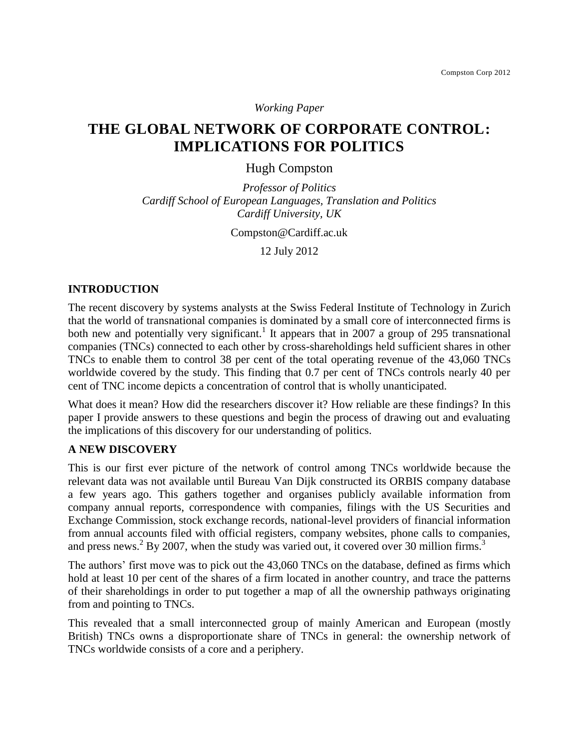*Working Paper*

# **THE GLOBAL NETWORK OF CORPORATE CONTROL: IMPLICATIONS FOR POLITICS**

Hugh Compston

*Professor of Politics Cardiff School of European Languages, Translation and Politics Cardiff University, UK*

Compston@Cardiff.ac.uk

12 July 2012

# **INTRODUCTION**

The recent discovery by systems analysts at the Swiss Federal Institute of Technology in Zurich that the world of transnational companies is dominated by a small core of interconnected firms is both new and potentially very significant.<sup>1</sup> It appears that in 2007 a group of 295 transnational companies (TNCs) connected to each other by cross-shareholdings held sufficient shares in other TNCs to enable them to control 38 per cent of the total operating revenue of the 43,060 TNCs worldwide covered by the study. This finding that 0.7 per cent of TNCs controls nearly 40 per cent of TNC income depicts a concentration of control that is wholly unanticipated.

What does it mean? How did the researchers discover it? How reliable are these findings? In this paper I provide answers to these questions and begin the process of drawing out and evaluating the implications of this discovery for our understanding of politics.

## **A NEW DISCOVERY**

This is our first ever picture of the network of control among TNCs worldwide because the relevant data was not available until Bureau Van Dijk constructed its ORBIS company database a few years ago. This gathers together and organises publicly available information from company annual reports, correspondence with companies, filings with the US Securities and Exchange Commission, stock exchange records, national-level providers of financial information from annual accounts filed with official registers, company websites, phone calls to companies, and press news.<sup>2</sup> By 2007, when the study was varied out, it covered over 30 million firms.<sup>3</sup>

The authors' first move was to pick out the 43,060 TNCs on the database, defined as firms which hold at least 10 per cent of the shares of a firm located in another country, and trace the patterns of their shareholdings in order to put together a map of all the ownership pathways originating from and pointing to TNCs.

This revealed that a small interconnected group of mainly American and European (mostly British) TNCs owns a disproportionate share of TNCs in general: the ownership network of TNCs worldwide consists of a core and a periphery.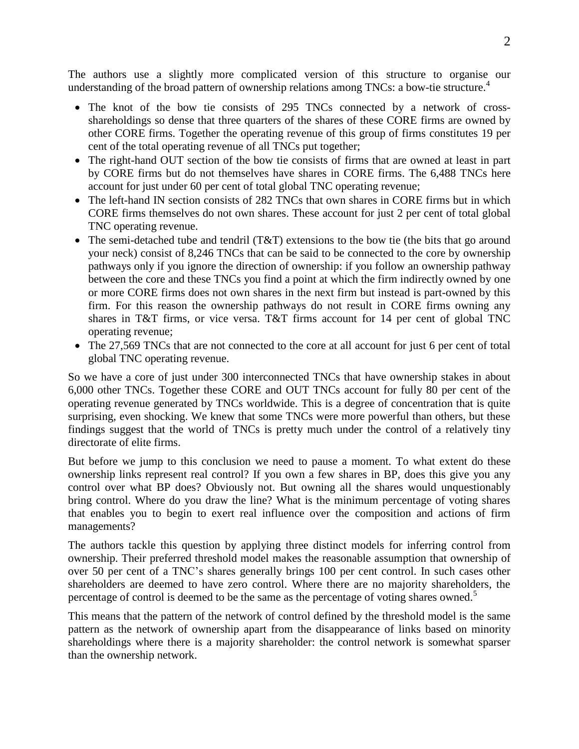The authors use a slightly more complicated version of this structure to organise our understanding of the broad pattern of ownership relations among TNCs: a bow-tie structure. 4

- The knot of the bow tie consists of 295 TNCs connected by a network of crossshareholdings so dense that three quarters of the shares of these CORE firms are owned by other CORE firms. Together the operating revenue of this group of firms constitutes 19 per cent of the total operating revenue of all TNCs put together;
- The right-hand OUT section of the bow tie consists of firms that are owned at least in part by CORE firms but do not themselves have shares in CORE firms. The 6,488 TNCs here account for just under 60 per cent of total global TNC operating revenue;
- The left-hand IN section consists of 282 TNCs that own shares in CORE firms but in which CORE firms themselves do not own shares. These account for just 2 per cent of total global TNC operating revenue.
- The semi-detached tube and tendril (T&T) extensions to the bow tie (the bits that go around your neck) consist of 8,246 TNCs that can be said to be connected to the core by ownership pathways only if you ignore the direction of ownership: if you follow an ownership pathway between the core and these TNCs you find a point at which the firm indirectly owned by one or more CORE firms does not own shares in the next firm but instead is part-owned by this firm. For this reason the ownership pathways do not result in CORE firms owning any shares in T&T firms, or vice versa. T&T firms account for 14 per cent of global TNC operating revenue;
- The 27,569 TNCs that are not connected to the core at all account for just 6 per cent of total global TNC operating revenue.

So we have a core of just under 300 interconnected TNCs that have ownership stakes in about 6,000 other TNCs. Together these CORE and OUT TNCs account for fully 80 per cent of the operating revenue generated by TNCs worldwide. This is a degree of concentration that is quite surprising, even shocking. We knew that some TNCs were more powerful than others, but these findings suggest that the world of TNCs is pretty much under the control of a relatively tiny directorate of elite firms.

But before we jump to this conclusion we need to pause a moment. To what extent do these ownership links represent real control? If you own a few shares in BP, does this give you any control over what BP does? Obviously not. But owning all the shares would unquestionably bring control. Where do you draw the line? What is the minimum percentage of voting shares that enables you to begin to exert real influence over the composition and actions of firm managements?

The authors tackle this question by applying three distinct models for inferring control from ownership. Their preferred threshold model makes the reasonable assumption that ownership of over 50 per cent of a TNC's shares generally brings 100 per cent control. In such cases other shareholders are deemed to have zero control. Where there are no majority shareholders, the percentage of control is deemed to be the same as the percentage of voting shares owned.<sup>5</sup>

This means that the pattern of the network of control defined by the threshold model is the same pattern as the network of ownership apart from the disappearance of links based on minority shareholdings where there is a majority shareholder: the control network is somewhat sparser than the ownership network.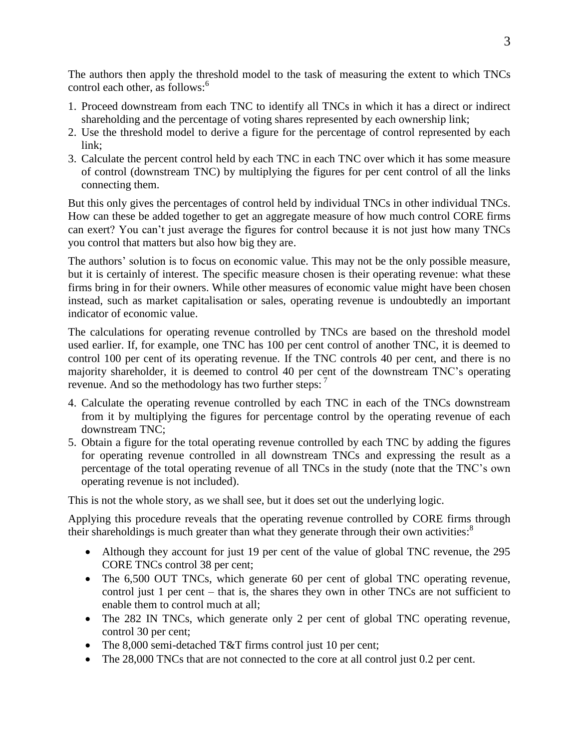The authors then apply the threshold model to the task of measuring the extent to which TNCs control each other, as follows:<sup>6</sup>

- 1. Proceed downstream from each TNC to identify all TNCs in which it has a direct or indirect shareholding and the percentage of voting shares represented by each ownership link;
- 2. Use the threshold model to derive a figure for the percentage of control represented by each link;
- 3. Calculate the percent control held by each TNC in each TNC over which it has some measure of control (downstream TNC) by multiplying the figures for per cent control of all the links connecting them.

But this only gives the percentages of control held by individual TNCs in other individual TNCs. How can these be added together to get an aggregate measure of how much control CORE firms can exert? You can't just average the figures for control because it is not just how many TNCs you control that matters but also how big they are.

The authors' solution is to focus on economic value. This may not be the only possible measure, but it is certainly of interest. The specific measure chosen is their operating revenue: what these firms bring in for their owners. While other measures of economic value might have been chosen instead, such as market capitalisation or sales, operating revenue is undoubtedly an important indicator of economic value.

The calculations for operating revenue controlled by TNCs are based on the threshold model used earlier. If, for example, one TNC has 100 per cent control of another TNC, it is deemed to control 100 per cent of its operating revenue. If the TNC controls 40 per cent, and there is no majority shareholder, it is deemed to control 40 per cent of the downstream TNC's operating revenue. And so the methodology has two further steps: <sup>7</sup>

- 4. Calculate the operating revenue controlled by each TNC in each of the TNCs downstream from it by multiplying the figures for percentage control by the operating revenue of each downstream TNC;
- 5. Obtain a figure for the total operating revenue controlled by each TNC by adding the figures for operating revenue controlled in all downstream TNCs and expressing the result as a percentage of the total operating revenue of all TNCs in the study (note that the TNC's own operating revenue is not included).

This is not the whole story, as we shall see, but it does set out the underlying logic.

Applying this procedure reveals that the operating revenue controlled by CORE firms through their shareholdings is much greater than what they generate through their own activities:<sup>8</sup>

- Although they account for just 19 per cent of the value of global TNC revenue, the 295 CORE TNCs control 38 per cent;
- The 6,500 OUT TNCs, which generate 60 per cent of global TNC operating revenue, control just 1 per cent – that is, the shares they own in other TNCs are not sufficient to enable them to control much at all;
- The 282 IN TNCs, which generate only 2 per cent of global TNC operating revenue, control 30 per cent;
- The 8,000 semi-detached T&T firms control just 10 per cent;
- The 28,000 TNCs that are not connected to the core at all control just 0.2 per cent.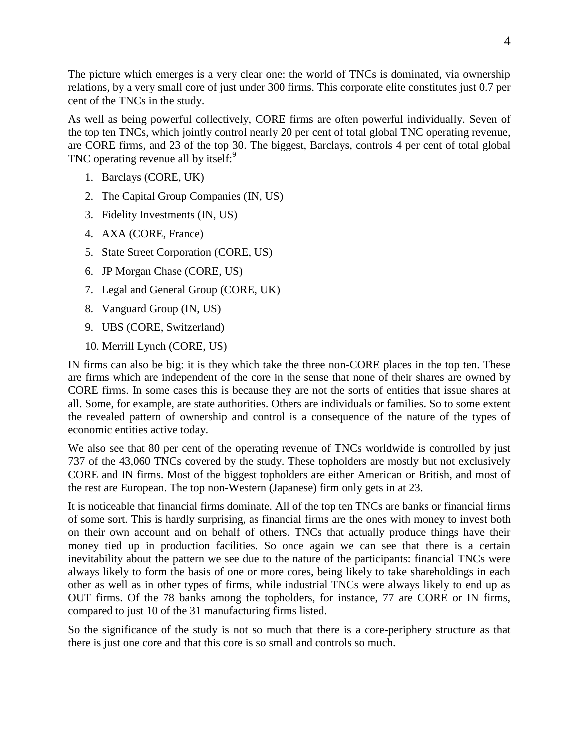The picture which emerges is a very clear one: the world of TNCs is dominated, via ownership relations, by a very small core of just under 300 firms. This corporate elite constitutes just 0.7 per cent of the TNCs in the study.

As well as being powerful collectively, CORE firms are often powerful individually. Seven of the top ten TNCs, which jointly control nearly 20 per cent of total global TNC operating revenue, are CORE firms, and 23 of the top 30. The biggest, Barclays, controls 4 per cent of total global TNC operating revenue all by itself:<sup>9</sup>

- 1. Barclays (CORE, UK)
- 2. The Capital Group Companies (IN, US)
- 3. Fidelity Investments (IN, US)
- 4. AXA (CORE, France)
- 5. State Street Corporation (CORE, US)
- 6. JP Morgan Chase (CORE, US)
- 7. Legal and General Group (CORE, UK)
- 8. Vanguard Group (IN, US)
- 9. UBS (CORE, Switzerland)
- 10. Merrill Lynch (CORE, US)

IN firms can also be big: it is they which take the three non-CORE places in the top ten. These are firms which are independent of the core in the sense that none of their shares are owned by CORE firms. In some cases this is because they are not the sorts of entities that issue shares at all. Some, for example, are state authorities. Others are individuals or families. So to some extent the revealed pattern of ownership and control is a consequence of the nature of the types of economic entities active today.

We also see that 80 per cent of the operating revenue of TNCs worldwide is controlled by just 737 of the 43,060 TNCs covered by the study. These topholders are mostly but not exclusively CORE and IN firms. Most of the biggest topholders are either American or British, and most of the rest are European. The top non-Western (Japanese) firm only gets in at 23.

It is noticeable that financial firms dominate. All of the top ten TNCs are banks or financial firms of some sort. This is hardly surprising, as financial firms are the ones with money to invest both on their own account and on behalf of others. TNCs that actually produce things have their money tied up in production facilities. So once again we can see that there is a certain inevitability about the pattern we see due to the nature of the participants: financial TNCs were always likely to form the basis of one or more cores, being likely to take shareholdings in each other as well as in other types of firms, while industrial TNCs were always likely to end up as OUT firms. Of the 78 banks among the topholders, for instance, 77 are CORE or IN firms, compared to just 10 of the 31 manufacturing firms listed.

So the significance of the study is not so much that there is a core-periphery structure as that there is just one core and that this core is so small and controls so much.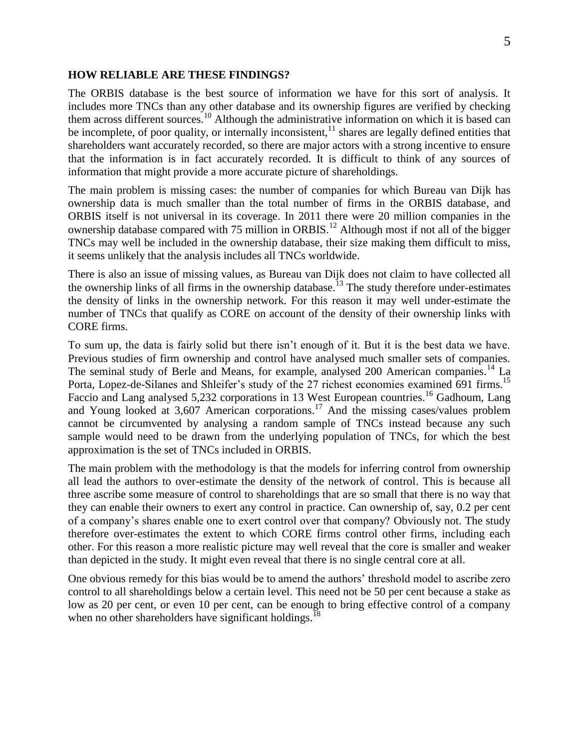#### **HOW RELIABLE ARE THESE FINDINGS?**

The ORBIS database is the best source of information we have for this sort of analysis. It includes more TNCs than any other database and its ownership figures are verified by checking them across different sources.<sup>10</sup> Although the administrative information on which it is based can be incomplete, of poor quality, or internally inconsistent, $11$  shares are legally defined entities that shareholders want accurately recorded, so there are major actors with a strong incentive to ensure that the information is in fact accurately recorded. It is difficult to think of any sources of information that might provide a more accurate picture of shareholdings.

The main problem is missing cases: the number of companies for which Bureau van Dijk has ownership data is much smaller than the total number of firms in the ORBIS database, and ORBIS itself is not universal in its coverage. In 2011 there were 20 million companies in the ownership database compared with 75 million in ORBIS.<sup>12</sup> Although most if not all of the bigger TNCs may well be included in the ownership database, their size making them difficult to miss, it seems unlikely that the analysis includes all TNCs worldwide.

There is also an issue of missing values, as Bureau van Dijk does not claim to have collected all the ownership links of all firms in the ownership database.<sup>13</sup> The study therefore under-estimates the density of links in the ownership network. For this reason it may well under-estimate the number of TNCs that qualify as CORE on account of the density of their ownership links with CORE firms.

To sum up, the data is fairly solid but there isn't enough of it. But it is the best data we have. Previous studies of firm ownership and control have analysed much smaller sets of companies. The seminal study of Berle and Means, for example, analysed 200 American companies.<sup>14</sup> La Porta, Lopez-de-Silanes and Shleifer's study of the 27 richest economies examined 691 firms.<sup>15</sup> Faccio and Lang analysed 5,232 corporations in 13 West European countries.<sup>16</sup> Gadhoum, Lang and Young looked at  $3,607$  American corporations.<sup>17</sup> And the missing cases/values problem cannot be circumvented by analysing a random sample of TNCs instead because any such sample would need to be drawn from the underlying population of TNCs, for which the best approximation is the set of TNCs included in ORBIS.

The main problem with the methodology is that the models for inferring control from ownership all lead the authors to over-estimate the density of the network of control. This is because all three ascribe some measure of control to shareholdings that are so small that there is no way that they can enable their owners to exert any control in practice. Can ownership of, say, 0.2 per cent of a company's shares enable one to exert control over that company? Obviously not. The study therefore over-estimates the extent to which CORE firms control other firms, including each other. For this reason a more realistic picture may well reveal that the core is smaller and weaker than depicted in the study. It might even reveal that there is no single central core at all.

One obvious remedy for this bias would be to amend the authors' threshold model to ascribe zero control to all shareholdings below a certain level. This need not be 50 per cent because a stake as low as 20 per cent, or even 10 per cent, can be enough to bring effective control of a company when no other shareholders have significant holdings.<sup>18</sup>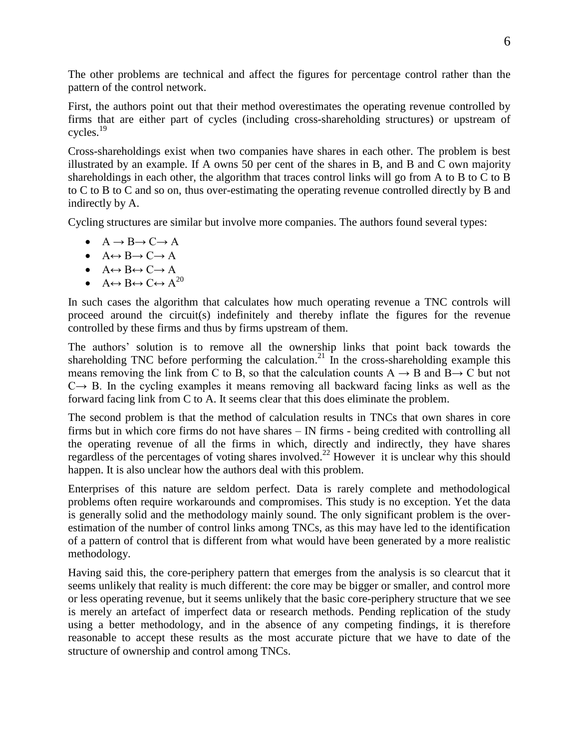The other problems are technical and affect the figures for percentage control rather than the pattern of the control network.

First, the authors point out that their method overestimates the operating revenue controlled by firms that are either part of cycles (including cross-shareholding structures) or upstream of cycles.<sup>19</sup>

Cross-shareholdings exist when two companies have shares in each other. The problem is best illustrated by an example. If A owns 50 per cent of the shares in B, and B and C own majority shareholdings in each other, the algorithm that traces control links will go from A to B to C to B to C to B to C and so on, thus over-estimating the operating revenue controlled directly by B and indirectly by A.

Cycling structures are similar but involve more companies. The authors found several types:

- $\bullet$  A  $\rightarrow$  B  $\rightarrow$  C  $\rightarrow$  A
- $A \leftrightarrow B \rightarrow C \rightarrow A$
- $\bullet$  A $\leftrightarrow$  B $\leftrightarrow$  C $\rightarrow$  A
- $A \leftrightarrow B \leftrightarrow C \leftrightarrow A^{20}$

In such cases the algorithm that calculates how much operating revenue a TNC controls will proceed around the circuit(s) indefinitely and thereby inflate the figures for the revenue controlled by these firms and thus by firms upstream of them.

The authors' solution is to remove all the ownership links that point back towards the shareholding TNC before performing the calculation.<sup>21</sup> In the cross-shareholding example this means removing the link from C to B, so that the calculation counts  $A \rightarrow B$  and  $B \rightarrow C$  but not  $C \rightarrow B$ . In the cycling examples it means removing all backward facing links as well as the forward facing link from C to A. It seems clear that this does eliminate the problem.

The second problem is that the method of calculation results in TNCs that own shares in core firms but in which core firms do not have shares – IN firms - being credited with controlling all the operating revenue of all the firms in which, directly and indirectly, they have shares regardless of the percentages of voting shares involved.<sup>22</sup> However it is unclear why this should happen. It is also unclear how the authors deal with this problem.

Enterprises of this nature are seldom perfect. Data is rarely complete and methodological problems often require workarounds and compromises. This study is no exception. Yet the data is generally solid and the methodology mainly sound. The only significant problem is the overestimation of the number of control links among TNCs, as this may have led to the identification of a pattern of control that is different from what would have been generated by a more realistic methodology.

Having said this, the core-periphery pattern that emerges from the analysis is so clearcut that it seems unlikely that reality is much different: the core may be bigger or smaller, and control more or less operating revenue, but it seems unlikely that the basic core-periphery structure that we see is merely an artefact of imperfect data or research methods. Pending replication of the study using a better methodology, and in the absence of any competing findings, it is therefore reasonable to accept these results as the most accurate picture that we have to date of the structure of ownership and control among TNCs.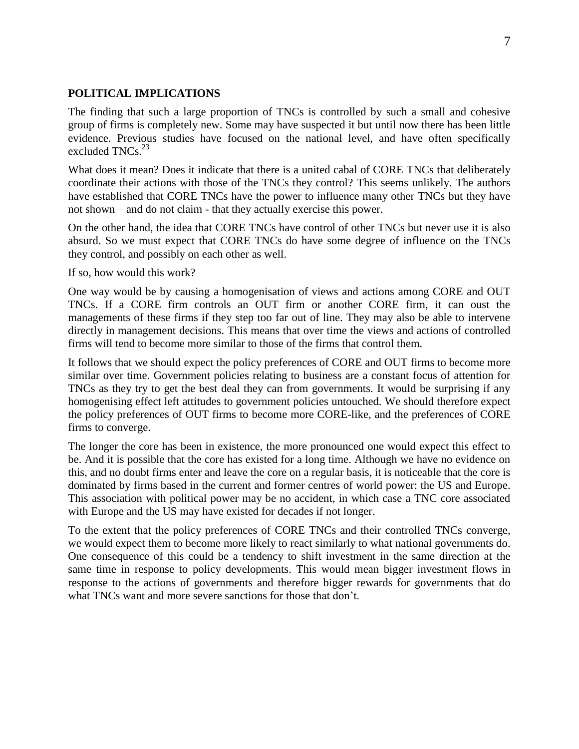#### **POLITICAL IMPLICATIONS**

The finding that such a large proportion of TNCs is controlled by such a small and cohesive group of firms is completely new. Some may have suspected it but until now there has been little evidence. Previous studies have focused on the national level, and have often specifically excluded  $TNCs$ <sup>23</sup>

What does it mean? Does it indicate that there is a united cabal of CORE TNCs that deliberately coordinate their actions with those of the TNCs they control? This seems unlikely. The authors have established that CORE TNCs have the power to influence many other TNCs but they have not shown – and do not claim - that they actually exercise this power.

On the other hand, the idea that CORE TNCs have control of other TNCs but never use it is also absurd. So we must expect that CORE TNCs do have some degree of influence on the TNCs they control, and possibly on each other as well.

If so, how would this work?

One way would be by causing a homogenisation of views and actions among CORE and OUT TNCs. If a CORE firm controls an OUT firm or another CORE firm, it can oust the managements of these firms if they step too far out of line. They may also be able to intervene directly in management decisions. This means that over time the views and actions of controlled firms will tend to become more similar to those of the firms that control them.

It follows that we should expect the policy preferences of CORE and OUT firms to become more similar over time. Government policies relating to business are a constant focus of attention for TNCs as they try to get the best deal they can from governments. It would be surprising if any homogenising effect left attitudes to government policies untouched. We should therefore expect the policy preferences of OUT firms to become more CORE-like, and the preferences of CORE firms to converge.

The longer the core has been in existence, the more pronounced one would expect this effect to be. And it is possible that the core has existed for a long time. Although we have no evidence on this, and no doubt firms enter and leave the core on a regular basis, it is noticeable that the core is dominated by firms based in the current and former centres of world power: the US and Europe. This association with political power may be no accident, in which case a TNC core associated with Europe and the US may have existed for decades if not longer.

To the extent that the policy preferences of CORE TNCs and their controlled TNCs converge, we would expect them to become more likely to react similarly to what national governments do. One consequence of this could be a tendency to shift investment in the same direction at the same time in response to policy developments. This would mean bigger investment flows in response to the actions of governments and therefore bigger rewards for governments that do what TNCs want and more severe sanctions for those that don't.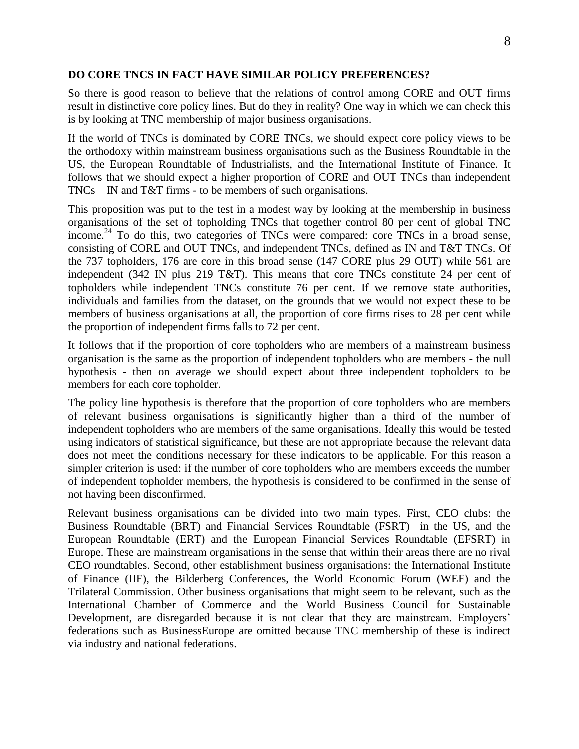#### **DO CORE TNCS IN FACT HAVE SIMILAR POLICY PREFERENCES?**

So there is good reason to believe that the relations of control among CORE and OUT firms result in distinctive core policy lines. But do they in reality? One way in which we can check this is by looking at TNC membership of major business organisations.

If the world of TNCs is dominated by CORE TNCs, we should expect core policy views to be the orthodoxy within mainstream business organisations such as the Business Roundtable in the US, the European Roundtable of Industrialists, and the International Institute of Finance. It follows that we should expect a higher proportion of CORE and OUT TNCs than independent TNCs – IN and T&T firms - to be members of such organisations.

This proposition was put to the test in a modest way by looking at the membership in business organisations of the set of topholding TNCs that together control 80 per cent of global TNC income.<sup>24</sup> To do this, two categories of TNCs were compared: core TNCs in a broad sense, consisting of CORE and OUT TNCs, and independent TNCs, defined as IN and T&T TNCs. Of the 737 topholders, 176 are core in this broad sense (147 CORE plus 29 OUT) while 561 are independent (342 IN plus 219 T&T). This means that core TNCs constitute 24 per cent of topholders while independent TNCs constitute 76 per cent. If we remove state authorities, individuals and families from the dataset, on the grounds that we would not expect these to be members of business organisations at all, the proportion of core firms rises to 28 per cent while the proportion of independent firms falls to 72 per cent.

It follows that if the proportion of core topholders who are members of a mainstream business organisation is the same as the proportion of independent topholders who are members - the null hypothesis - then on average we should expect about three independent topholders to be members for each core topholder.

The policy line hypothesis is therefore that the proportion of core topholders who are members of relevant business organisations is significantly higher than a third of the number of independent topholders who are members of the same organisations. Ideally this would be tested using indicators of statistical significance, but these are not appropriate because the relevant data does not meet the conditions necessary for these indicators to be applicable. For this reason a simpler criterion is used: if the number of core topholders who are members exceeds the number of independent topholder members, the hypothesis is considered to be confirmed in the sense of not having been disconfirmed.

Relevant business organisations can be divided into two main types. First, CEO clubs: the Business Roundtable (BRT) and Financial Services Roundtable (FSRT) in the US, and the European Roundtable (ERT) and the European Financial Services Roundtable (EFSRT) in Europe. These are mainstream organisations in the sense that within their areas there are no rival CEO roundtables. Second, other establishment business organisations: the International Institute of Finance (IIF), the Bilderberg Conferences, the World Economic Forum (WEF) and the Trilateral Commission. Other business organisations that might seem to be relevant, such as the International Chamber of Commerce and the World Business Council for Sustainable Development, are disregarded because it is not clear that they are mainstream. Employers' federations such as BusinessEurope are omitted because TNC membership of these is indirect via industry and national federations.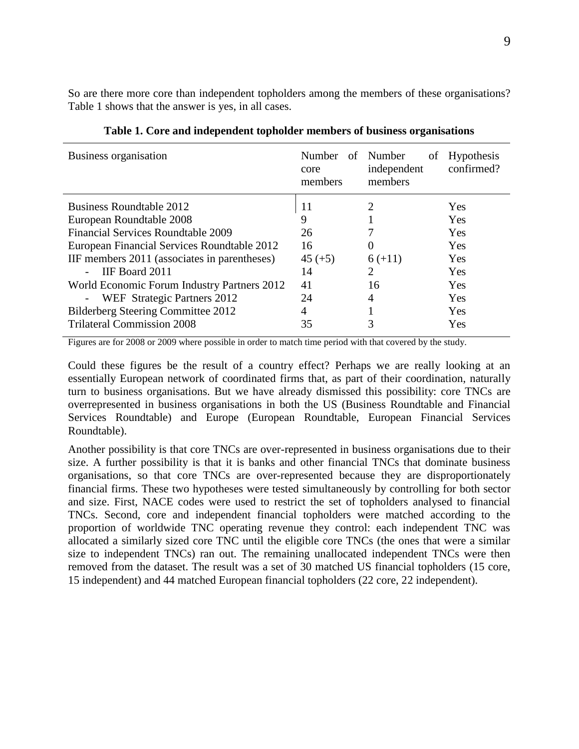So are there more core than independent topholders among the members of these organisations? Table 1 shows that the answer is yes, in all cases.

| Business organisation                         | Number<br>core<br>members | of Number<br>of<br>independent<br>members | <b>Hypothesis</b><br>confirmed? |
|-----------------------------------------------|---------------------------|-------------------------------------------|---------------------------------|
| Business Roundtable 2012                      | 11                        | 2                                         | Yes                             |
| European Roundtable 2008                      | 9                         |                                           | <b>Yes</b>                      |
| <b>Financial Services Roundtable 2009</b>     | 26                        |                                           | Yes                             |
| European Financial Services Roundtable 2012   | 16                        | $\theta$                                  | Yes                             |
| IIF members 2011 (associates in parentheses)  | $45 (+5)$                 | $6 (+11)$                                 | Yes                             |
| IF Board 2011<br>$\overline{a}$               | 14                        | 2                                         | <b>Yes</b>                      |
| World Economic Forum Industry Partners 2012   | 41                        | 16                                        | Yes                             |
| WEF Strategic Partners 2012<br>$\blacksquare$ | 24                        | 4                                         | Yes                             |
| Bilderberg Steering Committee 2012            | 4                         |                                           | Yes                             |
| <b>Trilateral Commission 2008</b>             | 35                        | 3                                         | Yes                             |

**Table 1. Core and independent topholder members of business organisations**

Figures are for 2008 or 2009 where possible in order to match time period with that covered by the study.

Could these figures be the result of a country effect? Perhaps we are really looking at an essentially European network of coordinated firms that, as part of their coordination, naturally turn to business organisations. But we have already dismissed this possibility: core TNCs are overrepresented in business organisations in both the US (Business Roundtable and Financial Services Roundtable) and Europe (European Roundtable, European Financial Services Roundtable).

Another possibility is that core TNCs are over-represented in business organisations due to their size. A further possibility is that it is banks and other financial TNCs that dominate business organisations, so that core TNCs are over-represented because they are disproportionately financial firms. These two hypotheses were tested simultaneously by controlling for both sector and size. First, NACE codes were used to restrict the set of topholders analysed to financial TNCs. Second, core and independent financial topholders were matched according to the proportion of worldwide TNC operating revenue they control: each independent TNC was allocated a similarly sized core TNC until the eligible core TNCs (the ones that were a similar size to independent TNCs) ran out. The remaining unallocated independent TNCs were then removed from the dataset. The result was a set of 30 matched US financial topholders (15 core, 15 independent) and 44 matched European financial topholders (22 core, 22 independent).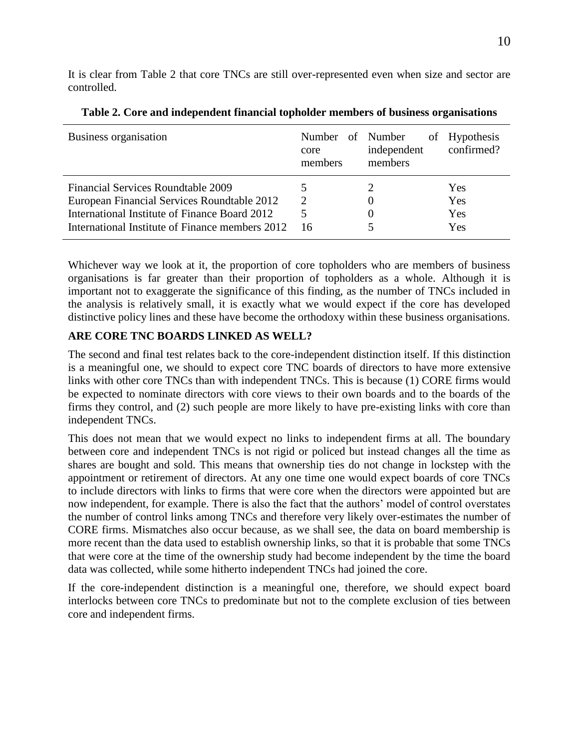It is clear from Table 2 that core TNCs are still over-represented even when size and sector are controlled.

| Business organisation                           | Number of Number<br>core<br>members | independent<br>members | of Hypothesis<br>confirmed? |
|-------------------------------------------------|-------------------------------------|------------------------|-----------------------------|
| <b>Financial Services Roundtable 2009</b>       |                                     |                        | Yes                         |
| European Financial Services Roundtable 2012     | 2                                   |                        | Yes                         |
| International Institute of Finance Board 2012   | 5.                                  |                        | Yes                         |
| International Institute of Finance members 2012 | 16                                  |                        | Yes                         |

| Table 2. Core and independent financial topholder members of business organisations |
|-------------------------------------------------------------------------------------|
|-------------------------------------------------------------------------------------|

Whichever way we look at it, the proportion of core topholders who are members of business organisations is far greater than their proportion of topholders as a whole. Although it is important not to exaggerate the significance of this finding, as the number of TNCs included in the analysis is relatively small, it is exactly what we would expect if the core has developed distinctive policy lines and these have become the orthodoxy within these business organisations.

# **ARE CORE TNC BOARDS LINKED AS WELL?**

The second and final test relates back to the core-independent distinction itself. If this distinction is a meaningful one, we should to expect core TNC boards of directors to have more extensive links with other core TNCs than with independent TNCs. This is because (1) CORE firms would be expected to nominate directors with core views to their own boards and to the boards of the firms they control, and (2) such people are more likely to have pre-existing links with core than independent TNCs.

This does not mean that we would expect no links to independent firms at all. The boundary between core and independent TNCs is not rigid or policed but instead changes all the time as shares are bought and sold. This means that ownership ties do not change in lockstep with the appointment or retirement of directors. At any one time one would expect boards of core TNCs to include directors with links to firms that were core when the directors were appointed but are now independent, for example. There is also the fact that the authors' model of control overstates the number of control links among TNCs and therefore very likely over-estimates the number of CORE firms. Mismatches also occur because, as we shall see, the data on board membership is more recent than the data used to establish ownership links, so that it is probable that some TNCs that were core at the time of the ownership study had become independent by the time the board data was collected, while some hitherto independent TNCs had joined the core.

If the core-independent distinction is a meaningful one, therefore, we should expect board interlocks between core TNCs to predominate but not to the complete exclusion of ties between core and independent firms.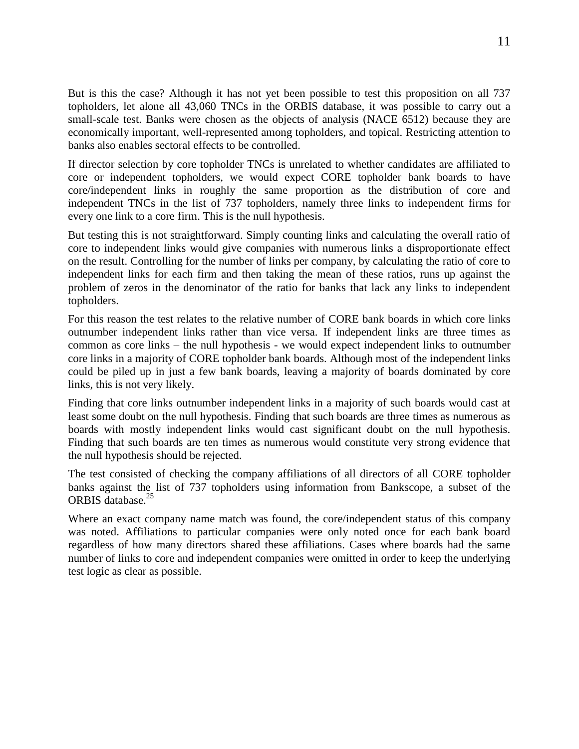But is this the case? Although it has not yet been possible to test this proposition on all 737 topholders, let alone all 43,060 TNCs in the ORBIS database, it was possible to carry out a small-scale test. Banks were chosen as the objects of analysis (NACE 6512) because they are economically important, well-represented among topholders, and topical. Restricting attention to banks also enables sectoral effects to be controlled.

If director selection by core topholder TNCs is unrelated to whether candidates are affiliated to core or independent topholders, we would expect CORE topholder bank boards to have core/independent links in roughly the same proportion as the distribution of core and independent TNCs in the list of 737 topholders, namely three links to independent firms for every one link to a core firm. This is the null hypothesis.

But testing this is not straightforward. Simply counting links and calculating the overall ratio of core to independent links would give companies with numerous links a disproportionate effect on the result. Controlling for the number of links per company, by calculating the ratio of core to independent links for each firm and then taking the mean of these ratios, runs up against the problem of zeros in the denominator of the ratio for banks that lack any links to independent topholders.

For this reason the test relates to the relative number of CORE bank boards in which core links outnumber independent links rather than vice versa. If independent links are three times as common as core links – the null hypothesis - we would expect independent links to outnumber core links in a majority of CORE topholder bank boards. Although most of the independent links could be piled up in just a few bank boards, leaving a majority of boards dominated by core links, this is not very likely.

Finding that core links outnumber independent links in a majority of such boards would cast at least some doubt on the null hypothesis. Finding that such boards are three times as numerous as boards with mostly independent links would cast significant doubt on the null hypothesis. Finding that such boards are ten times as numerous would constitute very strong evidence that the null hypothesis should be rejected.

The test consisted of checking the company affiliations of all directors of all CORE topholder banks against the list of 737 topholders using information from Bankscope, a subset of the ORBIS database.<sup>25</sup>

Where an exact company name match was found, the core/independent status of this company was noted. Affiliations to particular companies were only noted once for each bank board regardless of how many directors shared these affiliations. Cases where boards had the same number of links to core and independent companies were omitted in order to keep the underlying test logic as clear as possible.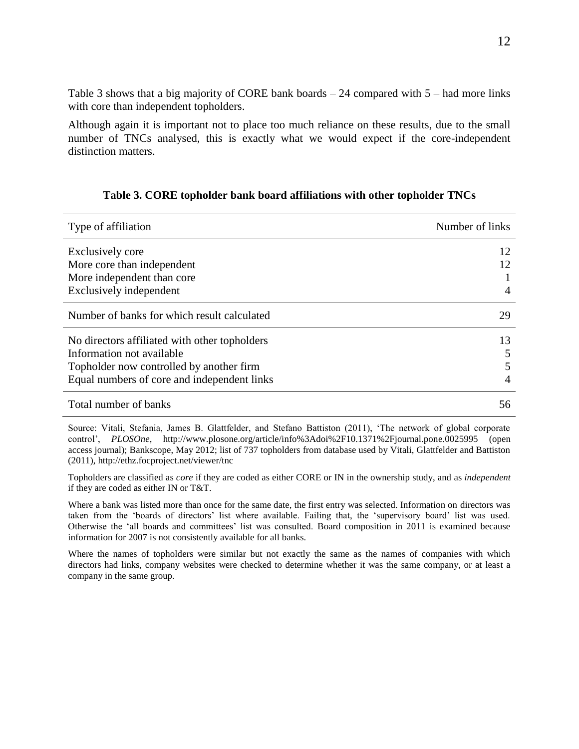Table 3 shows that a big majority of CORE bank boards – 24 compared with 5 – had more links with core than independent topholders.

Although again it is important not to place too much reliance on these results, due to the small number of TNCs analysed, this is exactly what we would expect if the core-independent distinction matters.

#### **Table 3. CORE topholder bank board affiliations with other topholder TNCs**

| Type of affiliation                           | Number of links |
|-----------------------------------------------|-----------------|
| Exclusively core                              | 12              |
| More core than independent                    | 12              |
| More independent than core                    |                 |
| Exclusively independent                       | $\overline{A}$  |
| Number of banks for which result calculated   | 29              |
| No directors affiliated with other topholders | 13              |
| Information not available                     | 5               |
| Topholder now controlled by another firm      | 5               |
| Equal numbers of core and independent links   | 4               |
| Total number of banks                         | 56              |

Source: Vitali, Stefania, James B. Glattfelder, and Stefano Battiston (2011), 'The network of global corporate control', *PLOSOne*, http://www.plosone.org/article/info%3Adoi%2F10.1371%2Fjournal.pone.0025995 (open access journal); Bankscope, May 2012; list of 737 topholders from database used by Vitali, Glattfelder and Battiston (2011), http://ethz.focproject.net/viewer/tnc

Topholders are classified as *core* if they are coded as either CORE or IN in the ownership study, and as *independent* if they are coded as either IN or T&T.

Where a bank was listed more than once for the same date, the first entry was selected. Information on directors was taken from the 'boards of directors' list where available. Failing that, the 'supervisory board' list was used. Otherwise the 'all boards and committees' list was consulted. Board composition in 2011 is examined because information for 2007 is not consistently available for all banks.

Where the names of topholders were similar but not exactly the same as the names of companies with which directors had links, company websites were checked to determine whether it was the same company, or at least a company in the same group.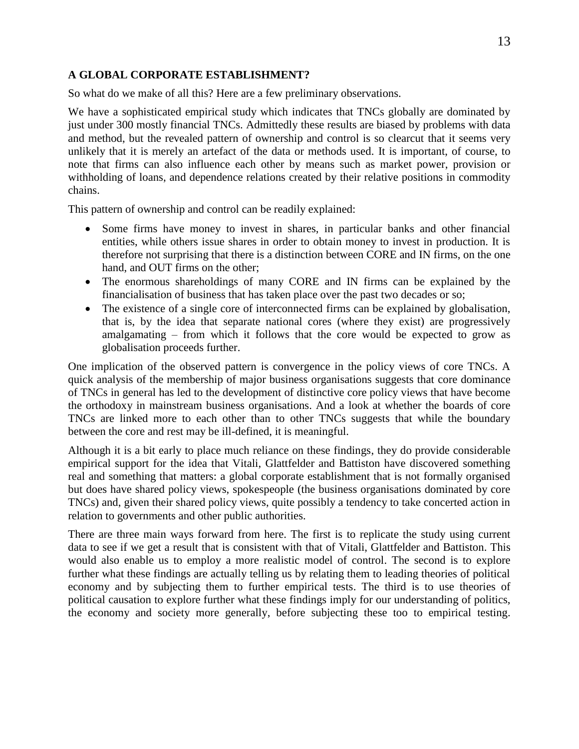## **A GLOBAL CORPORATE ESTABLISHMENT?**

So what do we make of all this? Here are a few preliminary observations.

We have a sophisticated empirical study which indicates that TNCs globally are dominated by just under 300 mostly financial TNCs. Admittedly these results are biased by problems with data and method, but the revealed pattern of ownership and control is so clearcut that it seems very unlikely that it is merely an artefact of the data or methods used. It is important, of course, to note that firms can also influence each other by means such as market power, provision or withholding of loans, and dependence relations created by their relative positions in commodity chains.

This pattern of ownership and control can be readily explained:

- Some firms have money to invest in shares, in particular banks and other financial entities, while others issue shares in order to obtain money to invest in production. It is therefore not surprising that there is a distinction between CORE and IN firms, on the one hand, and OUT firms on the other;
- The enormous shareholdings of many CORE and IN firms can be explained by the financialisation of business that has taken place over the past two decades or so;
- The existence of a single core of interconnected firms can be explained by globalisation, that is, by the idea that separate national cores (where they exist) are progressively amalgamating – from which it follows that the core would be expected to grow as globalisation proceeds further.

One implication of the observed pattern is convergence in the policy views of core TNCs. A quick analysis of the membership of major business organisations suggests that core dominance of TNCs in general has led to the development of distinctive core policy views that have become the orthodoxy in mainstream business organisations. And a look at whether the boards of core TNCs are linked more to each other than to other TNCs suggests that while the boundary between the core and rest may be ill-defined, it is meaningful.

Although it is a bit early to place much reliance on these findings, they do provide considerable empirical support for the idea that Vitali, Glattfelder and Battiston have discovered something real and something that matters: a global corporate establishment that is not formally organised but does have shared policy views, spokespeople (the business organisations dominated by core TNCs) and, given their shared policy views, quite possibly a tendency to take concerted action in relation to governments and other public authorities.

There are three main ways forward from here. The first is to replicate the study using current data to see if we get a result that is consistent with that of Vitali, Glattfelder and Battiston. This would also enable us to employ a more realistic model of control. The second is to explore further what these findings are actually telling us by relating them to leading theories of political economy and by subjecting them to further empirical tests. The third is to use theories of political causation to explore further what these findings imply for our understanding of politics, the economy and society more generally, before subjecting these too to empirical testing.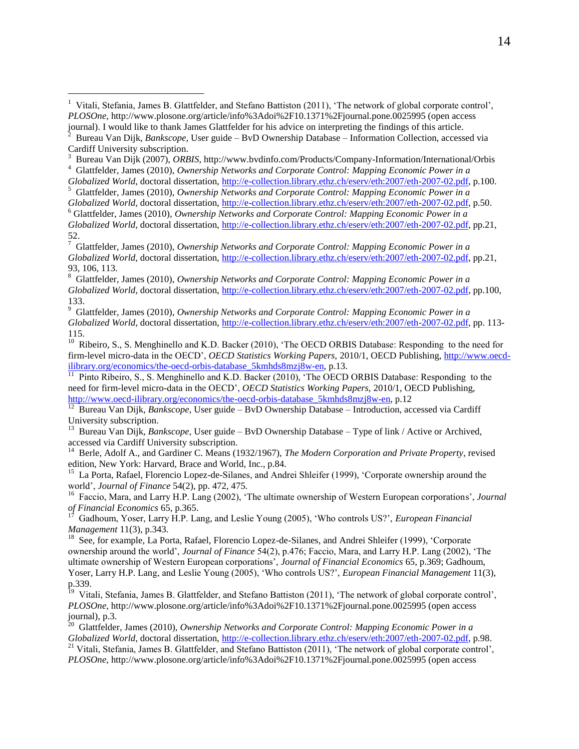$\overline{a}$ 

9 Glattfelder, James (2010), *Ownership Networks and Corporate Control: Mapping Economic Power in a Globalized World*, doctoral dissertation, [http://e-collection.library.ethz.ch/eserv/eth:2007/eth-2007-02.pdf,](http://e-collection.library.ethz.ch/eserv/eth:2007/eth-2007-02.pdf) pp. 113- 115.

<sup>10</sup> Ribeiro, S., S. Menghinello and K.D. Backer (2010), 'The OECD ORBIS Database: Responding to the need for firm-level micro-data in the OECD', *OECD Statistics Working Papers,* 2010/1, OECD Publishing[, http://www.oecd](http://www.oecd-ilibrary.org/economics/the-oecd-orbis-database_5kmhds8mzj8w-en)[ilibrary.org/economics/the-oecd-orbis-database\\_5kmhds8mzj8w-en,](http://www.oecd-ilibrary.org/economics/the-oecd-orbis-database_5kmhds8mzj8w-en) p.13.

11 Pinto Ribeiro, S., S. Menghinello and K.D. Backer (2010), 'The OECD ORBIS Database: Responding to the need for firm-level micro-data in the OECD', *OECD Statistics Working Papers,* 2010/1, OECD Publishing, [http://www.oecd-ilibrary.org/economics/the-oecd-orbis-database\\_5kmhds8mzj8w-en,](http://www.oecd-ilibrary.org/economics/the-oecd-orbis-database_5kmhds8mzj8w-en) p.12

<sup>12</sup> Bureau Van Dijk, *Bankscope*, User guide – BvD Ownership Database – Introduction, accessed via Cardiff University subscription.

<sup>13</sup> Bureau Van Dijk, *Bankscope*, User guide – BvD Ownership Database – Type of link / Active or Archived, accessed via Cardiff University subscription.

<sup>14</sup> Berle, Adolf A., and Gardiner C. Means (1932/1967), *The Modern Corporation and Private Property*, revised

edition, New York: Harvard, Brace and World, Inc., p.84.<br><sup>15</sup> La Porta, Rafael, Florencio Lopez-de-Silanes, and Andrei Shleifer (1999), 'Corporate ownership around the world', *Journal of Finance* 54(2), pp. 472, 475.

<sup>16</sup> Faccio, Mara, and Larry H.P. Lang (2002), 'The ultimate ownership of Western European corporations', *Journal of Financial Economics* 65, p.365. 17

 Gadhoum, Yoser, Larry H.P. Lang, and Leslie Young (2005), 'Who controls US?', *European Financial Management* 11(3), p.343.

<sup>18</sup> See, for example, La Porta, Rafael, Florencio Lopez-de-Silanes, and Andrei Shleifer (1999), 'Corporate ownership around the world', *Journal of Finance* 54(2), p.476; Faccio, Mara, and Larry H.P. Lang (2002), 'The ultimate ownership of Western European corporations', *Journal of Financial Economics* 65, p.369; Gadhoum, Yoser, Larry H.P. Lang, and Leslie Young (2005), 'Who controls US?', *European Financial Management* 11(3),

p.339.<br><sup>19</sup> Vitali, Stefania, James B. Glattfelder, and Stefano Battiston (2011), 'The network of global corporate control', *PLOSOne*, http://www.plosone.org/article/info%3Adoi%2F10.1371%2Fjournal.pone.0025995 (open access

journal), p.3. 20 Glattfelder, James (2010), *Ownership Networks and Corporate Control: Mapping Economic Power in a Globalized World*, doctoral dissertation, [http://e-collection.library.ethz.ch/eserv/eth:2007/eth-2007-02.pdf,](http://e-collection.library.ethz.ch/eserv/eth:2007/eth-2007-02.pdf) p.98. <sup>21</sup> Vitali, Stefania, James B. Glattfelder, and Stefano Battiston (2011), 'The network of global corporate control',

*PLOSOne*, http://www.plosone.org/article/info%3Adoi%2F10.1371%2Fjournal.pone.0025995 (open access

<sup>&</sup>lt;sup>1</sup> Vitali, Stefania, James B. Glattfelder, and Stefano Battiston (2011), 'The network of global corporate control', *PLOSOne*, http://www.plosone.org/article/info%3Adoi%2F10.1371%2Fjournal.pone.0025995 (open access journal). I would like to thank James Glattfelder for his advice on interpreting the findings of this article. 2

Bureau Van Dijk, *Bankscope*, User guide – BvD Ownership Database – Information Collection, accessed via Cardiff University subscription.

<sup>3</sup> Bureau Van Dijk (2007), *ORBIS*, http://www.bvdinfo.com/Products/Company-Information/International/Orbis 4 Glattfelder, James (2010), *Ownership Networks and Corporate Control: Mapping Economic Power in a* 

*Globalized World*, doctoral dissertation, [http://e-collection.library.ethz.ch/eserv/eth:2007/eth-2007-02.pdf,](http://e-collection.library.ethz.ch/eserv/eth:2007/eth-2007-02.pdf) p.100. 5 Glattfelder, James (2010), *Ownership Networks and Corporate Control: Mapping Economic Power in a* 

*Globalized World*, doctoral dissertation, [http://e-collection.library.ethz.ch/eserv/eth:2007/eth-2007-02.pdf,](http://e-collection.library.ethz.ch/eserv/eth:2007/eth-2007-02.pdf) p.50. <sup>6</sup> Glattfelder, James (2010), *Ownership Networks and Corporate Control: Mapping Economic Power in a Globalized World*, doctoral dissertation, [http://e-collection.library.ethz.ch/eserv/eth:2007/eth-2007-02.pdf,](http://e-collection.library.ethz.ch/eserv/eth:2007/eth-2007-02.pdf) pp.21,

<sup>52.</sup> 7 Glattfelder, James (2010), *Ownership Networks and Corporate Control: Mapping Economic Power in a Globalized World*, doctoral dissertation, [http://e-collection.library.ethz.ch/eserv/eth:2007/eth-2007-02.pdf,](http://e-collection.library.ethz.ch/eserv/eth:2007/eth-2007-02.pdf) pp.21, 93, 106, 113.

<sup>8</sup> Glattfelder, James (2010), *Ownership Networks and Corporate Control: Mapping Economic Power in a Globalized World*, doctoral dissertation, [http://e-collection.library.ethz.ch/eserv/eth:2007/eth-2007-02.pdf,](http://e-collection.library.ethz.ch/eserv/eth:2007/eth-2007-02.pdf) pp.100, 133.